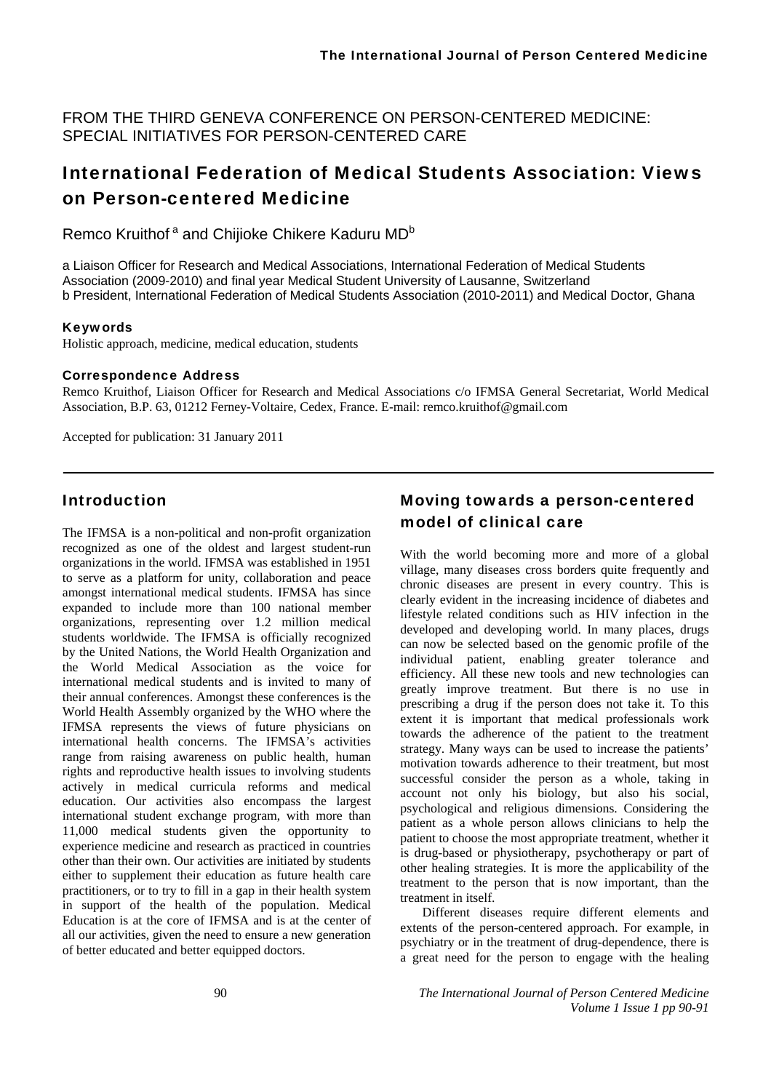FROM THE THIRD GENEVA CONFERENCE ON PERSON-CENTERED MEDICINE: SPECIAL INITIATIVES FOR PERSON-CENTERED CARE

# International Federation of Medical Students Association: Views on Person-centered Medicine

Remco Kruithof<sup>a</sup> and Chijioke Chikere Kaduru MD<sup>b</sup>

a Liaison Officer for Research and Medical Associations, International Federation of Medical Students Association (2009-2010) and final year Medical Student University of Lausanne, Switzerland b President, International Federation of Medical Students Association (2010-2011) and Medical Doctor, Ghana

### Keywords

Holistic approach, medicine, medical education, students

#### Correspondence Address

Remco Kruithof, Liaison Officer for Research and Medical Associations c/o IFMSA General Secretariat, World Medical Association, B.P. 63, 01212 Ferney-Voltaire, Cedex, France. E-mail: remco.kruithof@gmail.com

Accepted for publication: 31 January 2011

### Introduction

The IFMSA is a non-political and non-profit organization recognized as one of the oldest and largest student-run organizations in the world. IFMSA was established in 1951 to serve as a platform for unity, collaboration and peace amongst international medical students. IFMSA has since expanded to include more than 100 national member organizations, representing over 1.2 million medical students worldwide. The IFMSA is officially recognized by the United Nations, the World Health Organization and the World Medical Association as the voice for international medical students and is invited to many of their annual conferences. Amongst these conferences is the World Health Assembly organized by the WHO where the IFMSA represents the views of future physicians on international health concerns. The IFMSA's activities range from raising awareness on public health, human rights and reproductive health issues to involving students actively in medical curricula reforms and medical education. Our activities also encompass the largest international student exchange program, with more than 11,000 medical students given the opportunity to experience medicine and research as practiced in countries other than their own. Our activities are initiated by students either to supplement their education as future health care practitioners, or to try to fill in a gap in their health system in support of the health of the population. Medical Education is at the core of IFMSA and is at the center of all our activities, given the need to ensure a new generation of better educated and better equipped doctors.

## Moving towards a person-centered model of clinical care

With the world becoming more and more of a global village, many diseases cross borders quite frequently and chronic diseases are present in every country. This is clearly evident in the increasing incidence of diabetes and lifestyle related conditions such as HIV infection in the developed and developing world. In many places, drugs can now be selected based on the genomic profile of the individual patient, enabling greater tolerance and efficiency. All these new tools and new technologies can greatly improve treatment. But there is no use in prescribing a drug if the person does not take it. To this extent it is important that medical professionals work towards the adherence of the patient to the treatment strategy. Many ways can be used to increase the patients' motivation towards adherence to their treatment, but most successful consider the person as a whole, taking in account not only his biology, but also his social, psychological and religious dimensions. Considering the patient as a whole person allows clinicians to help the patient to choose the most appropriate treatment, whether it is drug-based or physiotherapy, psychotherapy or part of other healing strategies. It is more the applicability of the treatment to the person that is now important, than the treatment in itself.

Different diseases require different elements and extents of the person-centered approach. For example, in psychiatry or in the treatment of drug-dependence, there is a great need for the person to engage with the healing

90 *The International Journal of Person Centered Medicine Volume 1 Issue 1 pp 90-91*